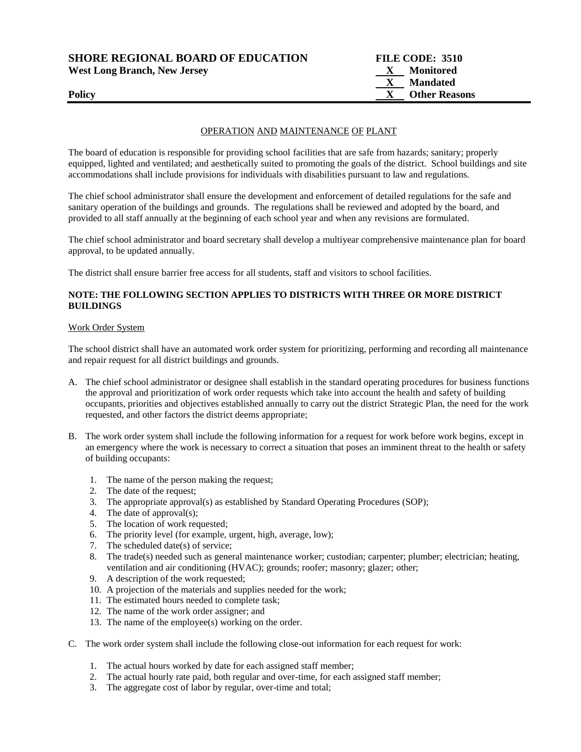| <b>SHORE REGIONAL BOARD OF EDUCATION</b> | FILE CODE: 3510           |
|------------------------------------------|---------------------------|
| <b>West Long Branch, New Jersey</b>      | Monitored<br>$\mathbf{X}$ |
|                                          | <b>Mandated</b>           |
| <b>Policy</b>                            | <b>Other Reasons</b>      |
|                                          |                           |

# OPERATION AND MAINTENANCE OF PLANT

The board of education is responsible for providing school facilities that are safe from hazards; sanitary; properly equipped, lighted and ventilated; and aesthetically suited to promoting the goals of the district. School buildings and site accommodations shall include provisions for individuals with disabilities pursuant to law and regulations.

The chief school administrator shall ensure the development and enforcement of detailed regulations for the safe and sanitary operation of the buildings and grounds. The regulations shall be reviewed and adopted by the board, and provided to all staff annually at the beginning of each school year and when any revisions are formulated.

The chief school administrator and board secretary shall develop a multiyear comprehensive maintenance plan for board approval, to be updated annually.

The district shall ensure barrier free access for all students, staff and visitors to school facilities.

# **NOTE: THE FOLLOWING SECTION APPLIES TO DISTRICTS WITH THREE OR MORE DISTRICT BUILDINGS**

#### Work Order System

The school district shall have an automated work order system for prioritizing, performing and recording all maintenance and repair request for all district buildings and grounds.

- A. The chief school administrator or designee shall establish in the standard operating procedures for business functions the approval and prioritization of work order requests which take into account the health and safety of building occupants, priorities and objectives established annually to carry out the district Strategic Plan, the need for the work requested, and other factors the district deems appropriate;
- B. The work order system shall include the following information for a request for work before work begins, except in an emergency where the work is necessary to correct a situation that poses an imminent threat to the health or safety of building occupants:
	- 1. The name of the person making the request;
	- 2. The date of the request;
	- 3. The appropriate approval(s) as established by Standard Operating Procedures (SOP);
	- 4. The date of approval(s);
	- 5. The location of work requested;
	- 6. The priority level (for example, urgent, high, average, low);
	- 7. The scheduled date(s) of service;
	- 8. The trade(s) needed such as general maintenance worker; custodian; carpenter; plumber; electrician; heating, ventilation and air conditioning (HVAC); grounds; roofer; masonry; glazer; other;
	- 9. A description of the work requested;
	- 10. A projection of the materials and supplies needed for the work;
	- 11. The estimated hours needed to complete task;
	- 12. The name of the work order assigner; and
	- 13. The name of the employee(s) working on the order.
- C. The work order system shall include the following close-out information for each request for work:
	- 1. The actual hours worked by date for each assigned staff member;
	- 2. The actual hourly rate paid, both regular and over-time, for each assigned staff member;
	- 3. The aggregate cost of labor by regular, over-time and total;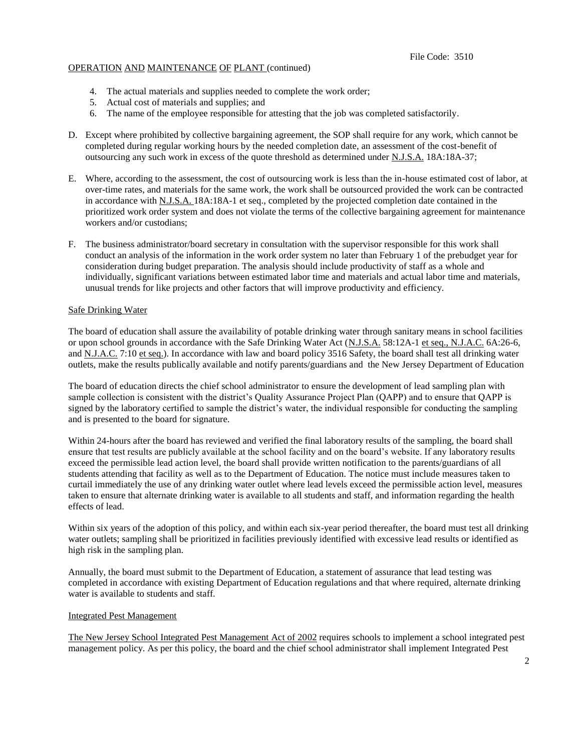# OPERATION AND MAINTENANCE OF PLANT (continued)

- 4. The actual materials and supplies needed to complete the work order;
- 5. Actual cost of materials and supplies; and
- 6. The name of the employee responsible for attesting that the job was completed satisfactorily.
- D. Except where prohibited by collective bargaining agreement, the SOP shall require for any work, which cannot be completed during regular working hours by the needed completion date, an assessment of the cost-benefit of outsourcing any such work in excess of the quote threshold as determined under N.J.S.A. 18A:18A-37;
- E. Where, according to the assessment, the cost of outsourcing work is less than the in-house estimated cost of labor, at over-time rates, and materials for the same work, the work shall be outsourced provided the work can be contracted in accordance with N.J.S.A. 18A:18A-1 et seq., completed by the projected completion date contained in the prioritized work order system and does not violate the terms of the collective bargaining agreement for maintenance workers and/or custodians;
- F. The business administrator/board secretary in consultation with the supervisor responsible for this work shall conduct an analysis of the information in the work order system no later than February 1 of the prebudget year for consideration during budget preparation. The analysis should include productivity of staff as a whole and individually, significant variations between estimated labor time and materials and actual labor time and materials, unusual trends for like projects and other factors that will improve productivity and efficiency.

# Safe Drinking Water

The board of education shall assure the availability of potable drinking water through sanitary means in school facilities or upon school grounds in accordance with the Safe Drinking Water Act (N.J.S.A. 58:12A-1 et seq., N.J.A.C. 6A:26-6, and N.J.A.C. 7:10 et seq.). In accordance with law and board policy 3516 Safety, the board shall test all drinking water outlets, make the results publically available and notify parents/guardians and the New Jersey Department of Education

The board of education directs the chief school administrator to ensure the development of lead sampling plan with sample collection is consistent with the district's Quality Assurance Project Plan (QAPP) and to ensure that QAPP is signed by the laboratory certified to sample the district's water, the individual responsible for conducting the sampling and is presented to the board for signature.

Within 24-hours after the board has reviewed and verified the final laboratory results of the sampling, the board shall ensure that test results are publicly available at the school facility and on the board's website. If any laboratory results exceed the permissible lead action level, the board shall provide written notification to the parents/guardians of all students attending that facility as well as to the Department of Education. The notice must include measures taken to curtail immediately the use of any drinking water outlet where lead levels exceed the permissible action level, measures taken to ensure that alternate drinking water is available to all students and staff, and information regarding the health effects of lead.

Within six years of the adoption of this policy, and within each six-year period thereafter, the board must test all drinking water outlets; sampling shall be prioritized in facilities previously identified with excessive lead results or identified as high risk in the sampling plan.

Annually, the board must submit to the Department of Education, a statement of assurance that lead testing was completed in accordance with existing Department of Education regulations and that where required, alternate drinking water is available to students and staff.

## Integrated Pest Management

The New Jersey School Integrated Pest Management Act of 2002 requires schools to implement a school integrated pest management policy. As per this policy, the board and the chief school administrator shall implement Integrated Pest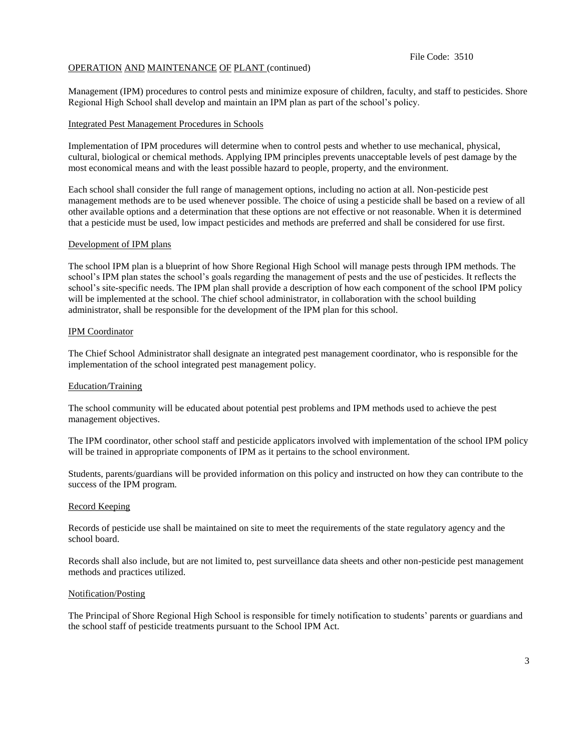#### File Code: 3510

## OPERATION AND MAINTENANCE OF PLANT (continued)

Management (IPM) procedures to control pests and minimize exposure of children, faculty, and staff to pesticides. Shore Regional High School shall develop and maintain an IPM plan as part of the school's policy.

#### Integrated Pest Management Procedures in Schools

Implementation of IPM procedures will determine when to control pests and whether to use mechanical, physical, cultural, biological or chemical methods. Applying IPM principles prevents unacceptable levels of pest damage by the most economical means and with the least possible hazard to people, property, and the environment.

Each school shall consider the full range of management options, including no action at all. Non-pesticide pest management methods are to be used whenever possible. The choice of using a pesticide shall be based on a review of all other available options and a determination that these options are not effective or not reasonable. When it is determined that a pesticide must be used, low impact pesticides and methods are preferred and shall be considered for use first.

#### Development of IPM plans

The school IPM plan is a blueprint of how Shore Regional High School will manage pests through IPM methods. The school's IPM plan states the school's goals regarding the management of pests and the use of pesticides. It reflects the school's site-specific needs. The IPM plan shall provide a description of how each component of the school IPM policy will be implemented at the school. The chief school administrator, in collaboration with the school building administrator, shall be responsible for the development of the IPM plan for this school.

## IPM Coordinator

The Chief School Administrator shall designate an integrated pest management coordinator, who is responsible for the implementation of the school integrated pest management policy.

## Education/Training

The school community will be educated about potential pest problems and IPM methods used to achieve the pest management objectives.

The IPM coordinator, other school staff and pesticide applicators involved with implementation of the school IPM policy will be trained in appropriate components of IPM as it pertains to the school environment*.*

Students, parents/guardians will be provided information on this policy and instructed on how they can contribute to the success of the IPM program.

#### Record Keeping

Records of pesticide use shall be maintained on site to meet the requirements of the state regulatory agency and the school board.

Records shall also include, but are not limited to, pest surveillance data sheets and other non-pesticide pest management methods and practices utilized.

#### Notification/Posting

The Principal of Shore Regional High School is responsible for timely notification to students' parents or guardians and the school staff of pesticide treatments pursuant to the School IPM Act.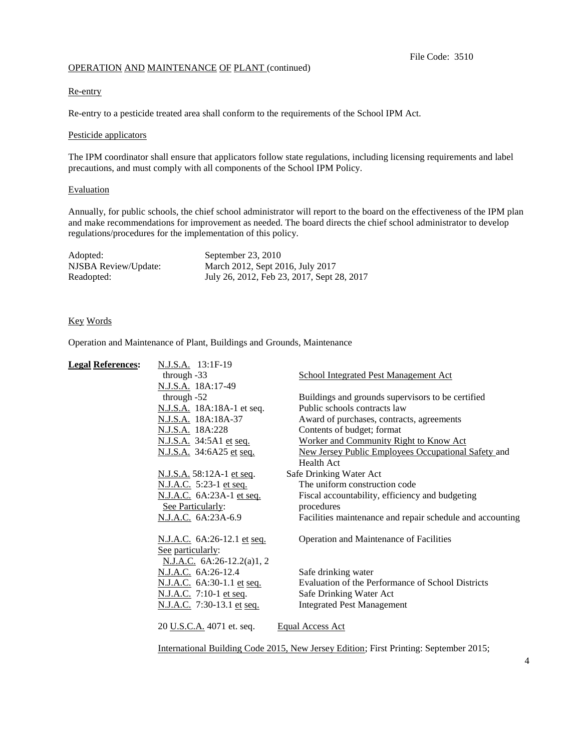# OPERATION AND MAINTENANCE OF PLANT (continued)

## Re-entry

Re-entry to a pesticide treated area shall conform to the requirements of the School IPM Act.

## Pesticide applicators

The IPM coordinator shall ensure that applicators follow state regulations, including licensing requirements and label precautions, and must comply with all components of the School IPM Policy.

# Evaluation

Annually, for public schools, the chief school administrator will report to the board on the effectiveness of the IPM plan and make recommendations for improvement as needed. The board directs the chief school administrator to develop regulations/procedures for the implementation of this policy.

| Adopted:             | September 23, 2010                         |
|----------------------|--------------------------------------------|
| NJSBA Review/Update: | March 2012, Sept 2016, July 2017           |
| Readopted:           | July 26, 2012, Feb 23, 2017, Sept 28, 2017 |

# Key Words

Operation and Maintenance of Plant, Buildings and Grounds, Maintenance

| <b>Legal References:</b> | N.J.S.A. 13:1F-19            |                                                                                       |
|--------------------------|------------------------------|---------------------------------------------------------------------------------------|
|                          | through $-33$                | <b>School Integrated Pest Management Act</b>                                          |
|                          | N.J.S.A. 18A:17-49           |                                                                                       |
|                          | through $-52$                | Buildings and grounds supervisors to be certified                                     |
|                          | N.J.S.A. 18A:18A-1 et seq.   | Public schools contracts law                                                          |
|                          | N.J.S.A. 18A:18A-37          | Award of purchases, contracts, agreements                                             |
|                          | N.J.S.A. 18A:228             | Contents of budget; format                                                            |
|                          | N.J.S.A. 34:5A1 et seq.      | Worker and Community Right to Know Act                                                |
|                          | N.J.S.A. 34:6A25 et seq.     | New Jersey Public Employees Occupational Safety and                                   |
|                          |                              | <b>Health Act</b>                                                                     |
|                          | N.J.S.A. 58:12A-1 et seq.    | Safe Drinking Water Act                                                               |
|                          | N.J.A.C. 5:23-1 et seq.      | The uniform construction code                                                         |
|                          | N.J.A.C. 6A:23A-1 et seq.    | Fiscal accountability, efficiency and budgeting                                       |
|                          | See Particularly:            | procedures                                                                            |
|                          | N.J.A.C. 6A:23A-6.9          | Facilities maintenance and repair schedule and accounting                             |
|                          | N.J.A.C. 6A:26-12.1 et seq.  | Operation and Maintenance of Facilities                                               |
|                          | See particularly:            |                                                                                       |
|                          | N.J.A.C. $6A:26-12.2(a)1, 2$ |                                                                                       |
|                          | N.J.A.C. 6A:26-12.4          | Safe drinking water                                                                   |
|                          | N.J.A.C. 6A:30-1.1 et seq.   | Evaluation of the Performance of School Districts                                     |
|                          | N.J.A.C. 7:10-1 et seq.      | Safe Drinking Water Act                                                               |
|                          | N.J.A.C. 7:30-13.1 et seq.   | <b>Integrated Pest Management</b>                                                     |
|                          | 20 U.S.C.A. 4071 et. seq.    | <b>Equal Access Act</b>                                                               |
|                          |                              | International Building Code 2015, New Jersey Edition; First Printing: September 2015; |